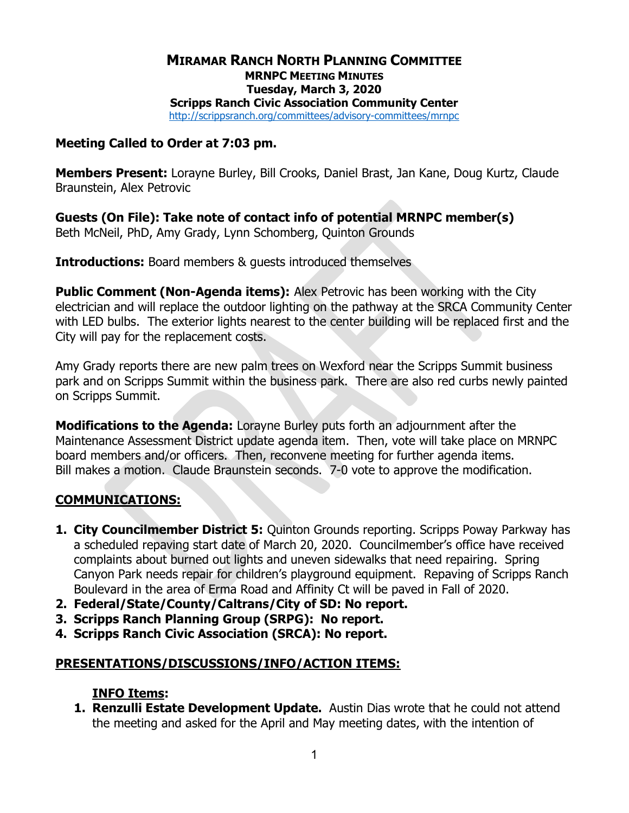#### MIRAMAR RANCH NORTH PLANNING COMMITTEE MRNPC MEETING MINUTES Tuesday, March 3, 2020 Scripps Ranch Civic Association Community Center http://scrippsranch.org/committees/advisory-committees/mrnpc

#### Meeting Called to Order at 7:03 pm.

Members Present: Lorayne Burley, Bill Crooks, Daniel Brast, Jan Kane, Doug Kurtz, Claude Braunstein, Alex Petrovic

Guests (On File): Take note of contact info of potential MRNPC member(s) Beth McNeil, PhD, Amy Grady, Lynn Schomberg, Quinton Grounds

**Introductions:** Board members & quests introduced themselves

**Public Comment (Non-Agenda items):** Alex Petrovic has been working with the City electrician and will replace the outdoor lighting on the pathway at the SRCA Community Center with LED bulbs. The exterior lights nearest to the center building will be replaced first and the City will pay for the replacement costs.

Amy Grady reports there are new palm trees on Wexford near the Scripps Summit business park and on Scripps Summit within the business park. There are also red curbs newly painted on Scripps Summit.

**Modifications to the Agenda:** Lorayne Burley puts forth an adjournment after the Maintenance Assessment District update agenda item. Then, vote will take place on MRNPC board members and/or officers. Then, reconvene meeting for further agenda items. Bill makes a motion. Claude Braunstein seconds. 7-0 vote to approve the modification.

## COMMUNICATIONS:

- 1. City Councilmember District 5: Quinton Grounds reporting. Scripps Poway Parkway has a scheduled repaving start date of March 20, 2020. Councilmember's office have received complaints about burned out lights and uneven sidewalks that need repairing. Spring Canyon Park needs repair for children's playground equipment. Repaving of Scripps Ranch Boulevard in the area of Erma Road and Affinity Ct will be paved in Fall of 2020.
- 2. Federal/State/County/Caltrans/City of SD: No report.
- 3. Scripps Ranch Planning Group (SRPG): No report.
- 4. Scripps Ranch Civic Association (SRCA): No report.

## PRESENTATIONS/DISCUSSIONS/INFO/ACTION ITEMS:

## INFO Items:

1. Renzulli Estate Development Update. Austin Dias wrote that he could not attend the meeting and asked for the April and May meeting dates, with the intention of